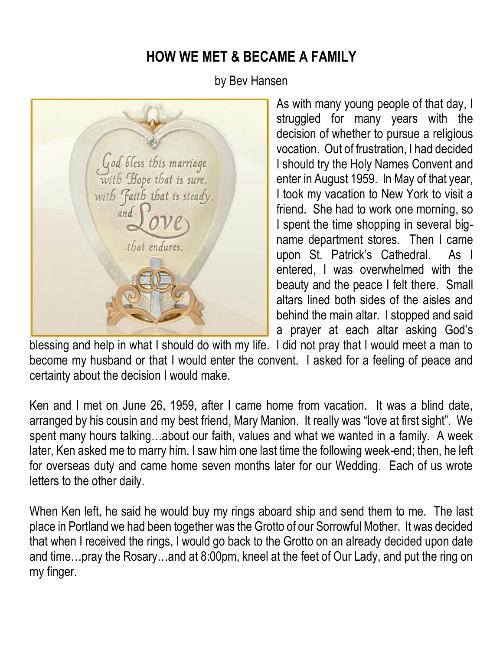## **HOW WE MET & BECAME A FAMILY**

by Bev Hansen

God bless this marriage with Hope that is sure, with Faith that is steady, and that endures.

As with many young people of that day, I struggled for many years with the decision of whether to pursue a religious vocation. Out of frustration, I had decided I should try the Holy Names Convent and enter in August 1959. In May of that year, I took my vacation to New York to visit a friend. She had to work one morning, so I spent the time shopping in several bigname department stores. Then I came upon St. Patrick's Cathedral. As I entered, I was overwhelmed with the beauty and the peace I felt there. Small altars lined both sides of the aisles and behind the main altar. I stopped and said a prayer at each altar asking God's

blessing and help in what I should do with my life. I did not pray that I would meet a man to become my husband or that I would enter the convent. I asked for a feeling of peace and certainty about the decision I would make.

Ken and I met on June 26, 1959, after I came home from vacation. It was a blind date, arranged by his cousin and my best friend, Mary Manion. It really was "love at first sight". We spent many hours talking…about our faith, values and what we wanted in a family. A week later, Ken asked me to marry him. I saw him one last time the following week-end; then, he left for overseas duty and came home seven months later for our Wedding. Each of us wrote letters to the other daily.

When Ken left, he said he would buy my rings aboard ship and send them to me. The last place in Portland we had been together was the Grotto of our Sorrowful Mother. It was decided that when I received the rings, I would go back to the Grotto on an already decided upon date and time…pray the Rosary…and at 8:00pm, kneel at the feet of Our Lady, and put the ring on my finger.